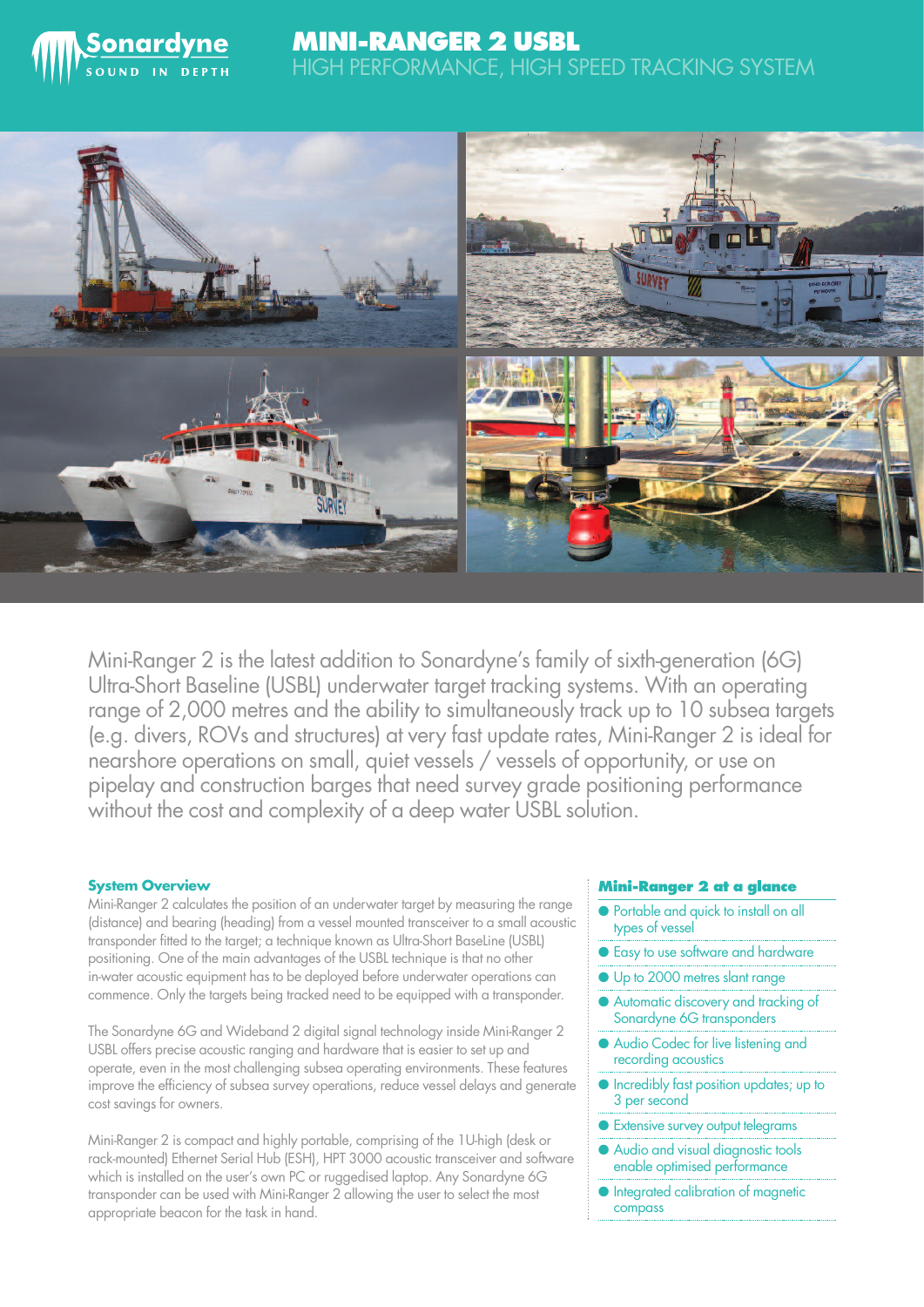

# **MINI-RANGER 2 USBL** HIGH PERFORMANCE, HIGH SPEED TRACKING SYSTEM



Mini-Ranger 2 is the latest addition to Sonardyne's family of sixth-generation (6G) Ultra-Short Baseline (USBL) underwater target tracking systems. With an operating range of 2,000 metres and the ability to simultaneously track up to 10 subsea targets (e.g. divers, ROVs and structures) at very fast update rates, Mini-Ranger 2 is ideal for nearshore operations on small, quiet vessels / vessels of opportunity, or use on pipelay and construction barges that need survey grade positioning performance without the cost and complexity of a deep water USBL solution.

# **System Overview**

Mini-Ranger 2 calculates the position of an underwater target by measuring the range (distance) and bearing (heading) from a vessel mounted transceiver to a small acoustic transponder fitted to the target; a technique known as Ultra-Short BaseLine (USBL) positioning. One of the main advantages of the USBL technique is that no other in-water acoustic equipment has to be deployed before underwater operations can commence. Only the targets being tracked need to be equipped with a transponder.

The Sonardyne 6G and Wideband 2 digital signal technology inside Mini-Ranger 2 USBL offers precise acoustic ranging and hardware that is easier to set up and operate, even in the most challenging subsea operating environments. These features improve the efficiency of subsea survey operations, reduce vessel delays and generate cost savings for owners.

Mini-Ranger 2 is compact and highly portable, comprising of the 1U-high (desk or rack-mounted) Ethernet Serial Hub (ESH), HPT 3000 acoustic transceiver and software which is installed on the user's own PC or ruggedised laptop. Any Sonardyne 6G transponder can be used with Mini-Ranger 2 allowing the user to select the most appropriate beacon for the task in hand.

## **Mini-Ranger 2 at a glance**

- Portable and quick to install on all types of vessel
- Easy to use software and hardware
- Up to 2000 metres slant range
- Automatic discovery and tracking of Sonardyne 6G transponders
- Audio Codec for live listening and recording acoustics
- Incredibly fast position updates; up to 3 per second
- Extensive survey output telegrams
- Audio and visual diagnostic tools enable optimised performance
- Integrated calibration of magnetic compass